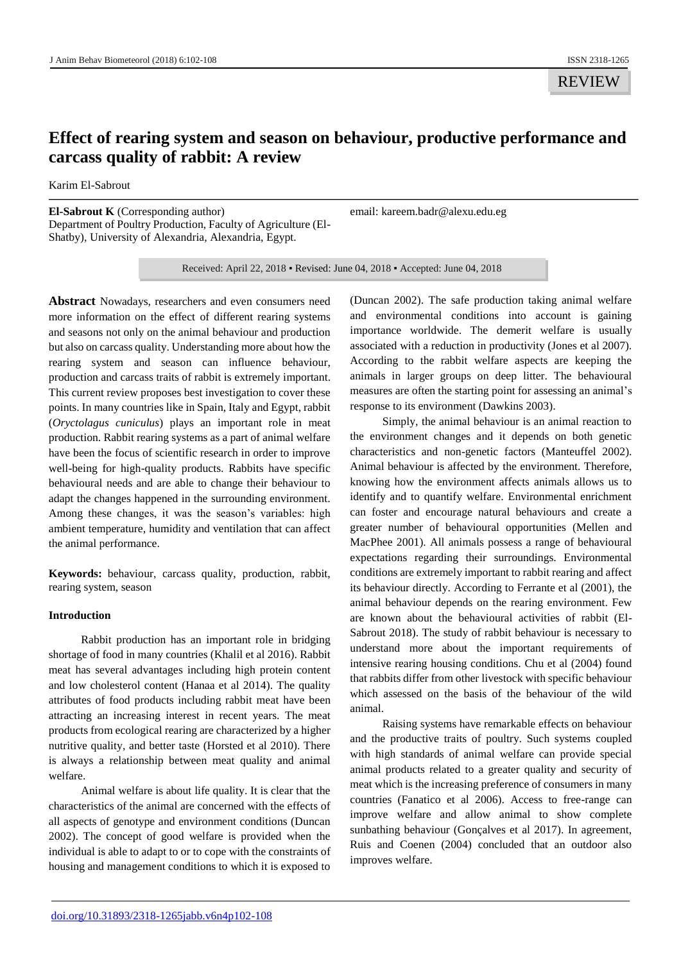REVIEW

# **Effect of rearing system and season on behaviour, productive performance and carcass quality of rabbit: A review**

Karim El-Sabrout

**El-Sabrout K** (Corresponding author) Department of Poultry Production, Faculty of Agriculture (El-Shatby), University of Alexandria, Alexandria, Egypt.

email: kareem.badr@alexu.edu.eg

Received: April 22, 2018 ▪ Revised: June 04, 2018 ▪ Accepted: June 04, 2018

**Abstract** Nowadays, researchers and even consumers need more information on the effect of different rearing systems and seasons not only on the animal behaviour and production but also on carcass quality. Understanding more about how the rearing system and season can influence behaviour, production and carcass traits of rabbit is extremely important. This current review proposes best investigation to cover these points. In many countries like in Spain, Italy and Egypt, rabbit (*Oryctolagus cuniculus*) plays an important role in meat production. Rabbit rearing systems as a part of animal welfare have been the focus of scientific research in order to improve well-being for high-quality products. Rabbits have specific behavioural needs and are able to change their behaviour to adapt the changes happened in the surrounding environment. Among these changes, it was the season's variables: high ambient temperature, humidity and ventilation that can affect the animal performance.

**Keywords:** behaviour, carcass quality, production, rabbit, rearing system, season

# **Introduction**

Rabbit production has an important role in bridging shortage of food in many countries (Khalil et al 2016). Rabbit meat has several advantages including high protein content and low cholesterol content (Hanaa et al 2014). The quality attributes of food products including rabbit meat have been attracting an increasing interest in recent years. The meat products from ecological rearing are characterized by a higher nutritive quality, and better taste (Horsted et al 2010). There is always a relationship between meat quality and animal welfare.

Animal welfare is about life quality. It is clear that the characteristics of the animal are concerned with the effects of all aspects of genotype and environment conditions (Duncan 2002). The concept of good welfare is provided when the individual is able to adapt to or to cope with the constraints of housing and management conditions to which it is exposed to

(Duncan 2002). The safe production taking animal welfare and environmental conditions into account is gaining importance worldwide. The demerit welfare is usually associated with a reduction in productivity (Jones et al 2007). According to the rabbit welfare aspects are keeping the animals in larger groups on deep litter. The behavioural measures are often the starting point for assessing an animal's response to its environment (Dawkins 2003).

Simply, the animal behaviour is an animal reaction to the environment changes and it depends on both genetic characteristics and non-genetic factors (Manteuffel 2002). Animal behaviour is affected by the environment. Therefore, knowing how the environment affects animals allows us to identify and to quantify welfare. Environmental enrichment can foster and encourage natural behaviours and create a greater number of behavioural opportunities (Mellen and MacPhee 2001). All animals possess a range of behavioural expectations regarding their surroundings. Environmental conditions are extremely important to rabbit rearing and affect its behaviour directly. According to Ferrante et al (2001), the animal behaviour depends on the rearing environment. Few are known about the behavioural activities of rabbit (El-Sabrout 2018). The study of rabbit behaviour is necessary to understand more about the important requirements of intensive rearing housing conditions. Chu et al (2004) found that rabbits differ from other livestock with specific behaviour which assessed on the basis of the behaviour of the wild animal.

Raising systems have remarkable effects on behaviour and the productive traits of poultry. Such systems coupled with high standards of animal welfare can provide special animal products related to a greater quality and security of meat which is the increasing preference of consumers in many countries (Fanatico et al 2006). Access to free-range can improve welfare and allow animal to show complete sunbathing behaviour (Gonçalves et al 2017). In agreement, Ruis and Coenen (2004) concluded that an outdoor also improves welfare.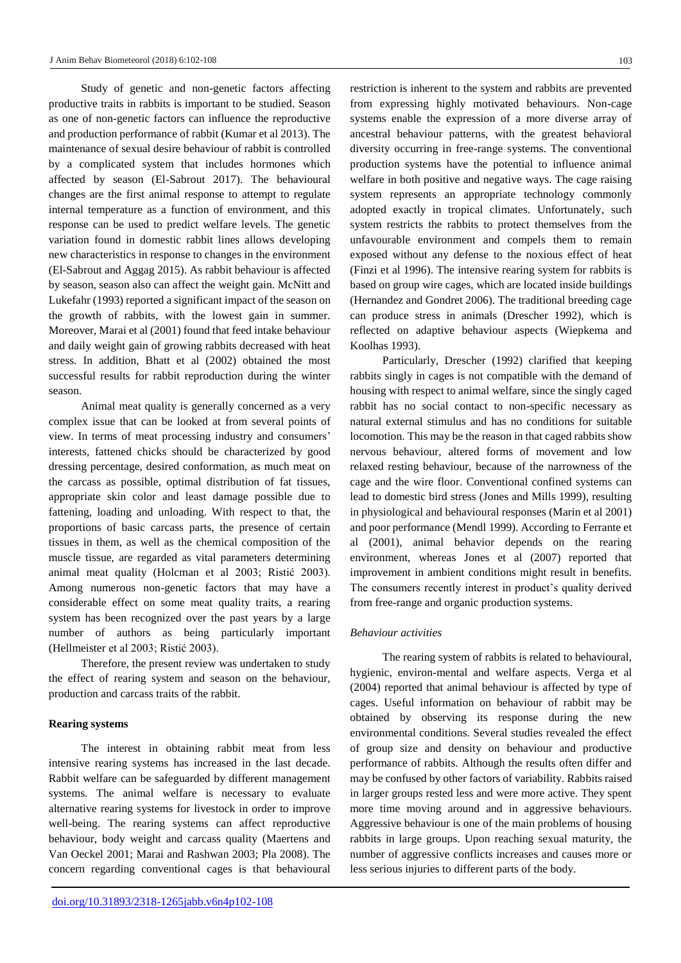Study of genetic and non-genetic factors affecting productive traits in rabbits is important to be studied. Season as one of non-genetic factors can influence the reproductive and production performance of rabbit (Kumar et al 2013). The maintenance of sexual desire behaviour of rabbit is controlled by a complicated system that includes hormones which affected by season (El-Sabrout 2017). The behavioural changes are the first animal response to attempt to regulate internal temperature as a function of environment, and this response can be used to predict welfare levels. The genetic variation found in domestic rabbit lines allows developing new characteristics in response to changes in the environment (El-Sabrout and Aggag 2015). As rabbit behaviour is affected by season, season also can affect the weight gain. McNitt and Lukefahr (1993) reported a significant impact of the season on the growth of rabbits, with the lowest gain in summer. Moreover, Marai et al (2001) found that feed intake behaviour and daily weight gain of growing rabbits decreased with heat stress. In addition, Bhatt et al (2002) obtained the most successful results for rabbit reproduction during the winter season.

Animal meat quality is generally concerned as a very complex issue that can be looked at from several points of view. In terms of meat processing industry and consumers' interests, fattened chicks should be characterized by good dressing percentage, desired conformation, as much meat on the carcass as possible, optimal distribution of fat tissues, appropriate skin color and least damage possible due to fattening, loading and unloading. With respect to that, the proportions of basic carcass parts, the presence of certain tissues in them, as well as the chemical composition of the muscle tissue, are regarded as vital parameters determining animal meat quality (Holcman et al 2003; Ristić 2003). Among numerous non-genetic factors that may have a considerable effect on some meat quality traits, a rearing system has been recognized over the past years by a large number of authors as being particularly important (Hellmeister et al 2003; Ristić 2003).

Therefore, the present review was undertaken to study the effect of rearing system and season on the behaviour, production and carcass traits of the rabbit.

# **Rearing systems**

The interest in obtaining rabbit meat from less intensive rearing systems has increased in the last decade. Rabbit welfare can be safeguarded by different management systems. The animal welfare is necessary to evaluate alternative rearing systems for livestock in order to improve well-being. The rearing systems can affect reproductive behaviour, body weight and carcass quality (Maertens and Van Oeckel 2001; Marai and Rashwan 2003; Pla 2008). The concern regarding conventional cages is that behavioural

restriction is inherent to the system and rabbits are prevented from expressing highly motivated behaviours. Non-cage systems enable the expression of a more diverse array of ancestral behaviour patterns, with the greatest behavioral diversity occurring in free-range systems. The conventional production systems have the potential to influence animal welfare in both positive and negative ways. The cage raising system represents an appropriate technology commonly adopted exactly in tropical climates. Unfortunately, such system restricts the rabbits to protect themselves from the unfavourable environment and compels them to remain exposed without any defense to the noxious effect of heat (Finzi et al 1996). The intensive rearing system for rabbits is based on group wire cages, which are located inside buildings (Hernandez and Gondret 2006). The traditional breeding cage can produce stress in animals (Drescher 1992), which is reflected on adaptive behaviour aspects (Wiepkema and Koolhas 1993).

Particularly, Drescher (1992) clarified that keeping rabbits singly in cages is not compatible with the demand of housing with respect to animal welfare, since the singly caged rabbit has no social contact to non-specific necessary as natural external stimulus and has no conditions for suitable locomotion. This may be the reason in that caged rabbits show nervous behaviour, altered forms of movement and low relaxed resting behaviour, because of the narrowness of the cage and the wire floor. Conventional confined systems can lead to domestic bird stress (Jones and Mills 1999), resulting in physiological and behavioural responses (Marin et al 2001) and poor performance (Mendl 1999). According to Ferrante et al (2001), animal behavior depends on the rearing environment, whereas Jones et al (2007) reported that improvement in ambient conditions might result in benefits. The consumers recently interest in product's quality derived from free-range and organic production systems.

# *Behaviour activities*

The rearing system of rabbits is related to behavioural, hygienic, environ-mental and welfare aspects. Verga et al (2004) reported that animal behaviour is affected by type of cages. Useful information on behaviour of rabbit may be obtained by observing its response during the new environmental conditions. Several studies revealed the effect of group size and density on behaviour and productive performance of rabbits. Although the results often differ and may be confused by other factors of variability. Rabbits raised in larger groups rested less and were more active. They spent more time moving around and in aggressive behaviours. Aggressive behaviour is one of the main problems of housing rabbits in large groups. Upon reaching sexual maturity, the number of aggressive conflicts increases and causes more or less serious injuries to different parts of the body.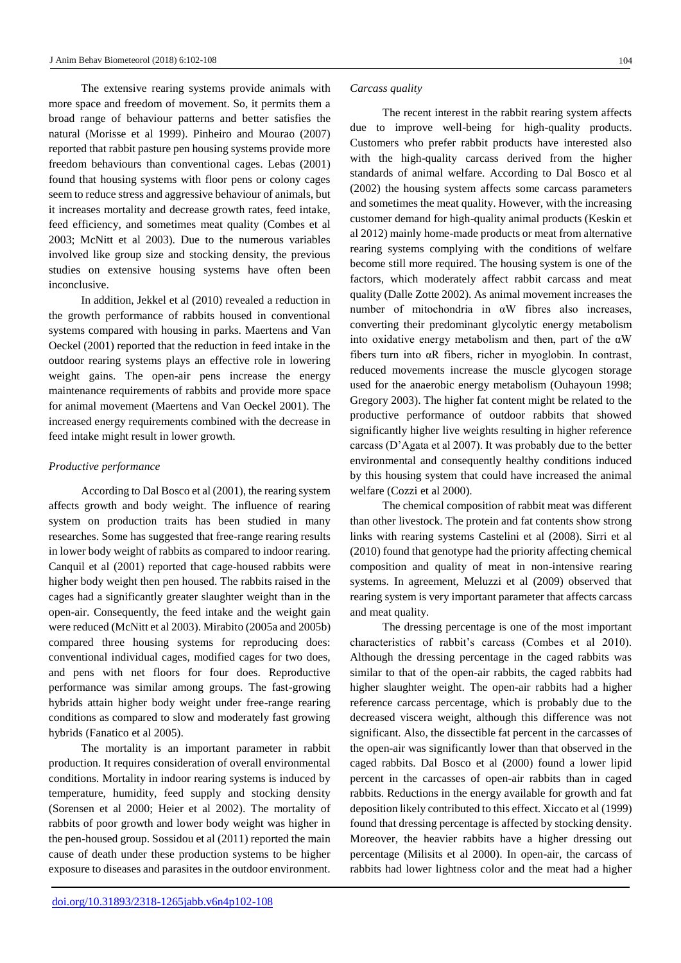The extensive rearing systems provide animals with more space and freedom of movement. So, it permits them a broad range of behaviour patterns and better satisfies the natural (Morisse et al 1999). Pinheiro and Mourao (2007) reported that rabbit pasture pen housing systems provide more freedom behaviours than conventional cages. Lebas (2001) found that housing systems with floor pens or colony cages seem to reduce stress and aggressive behaviour of animals, but it increases mortality and decrease growth rates, feed intake, feed efficiency, and sometimes meat quality (Combes et al 2003; McNitt et al 2003). Due to the numerous variables involved like group size and stocking density, the previous studies on extensive housing systems have often been inconclusive.

In addition, Jekkel et al (2010) revealed a reduction in the growth performance of rabbits housed in conventional systems compared with housing in parks. Maertens and Van Oeckel (2001) reported that the reduction in feed intake in the outdoor rearing systems plays an effective role in lowering weight gains. The open-air pens increase the energy maintenance requirements of rabbits and provide more space for animal movement (Maertens and Van Oeckel 2001). The increased energy requirements combined with the decrease in feed intake might result in lower growth.

## *Productive performance*

According to Dal Bosco et al (2001), the rearing system affects growth and body weight. The influence of rearing system on production traits has been studied in many researches. Some has suggested that free-range rearing results in lower body weight of rabbits as compared to indoor rearing. Canquil et al (2001) reported that cage-housed rabbits were higher body weight then pen housed. The rabbits raised in the cages had a significantly greater slaughter weight than in the open-air. Consequently, the feed intake and the weight gain were reduced (McNitt et al 2003). Mirabito (2005a and 2005b) compared three housing systems for reproducing does: conventional individual cages, modified cages for two does, and pens with net floors for four does. Reproductive performance was similar among groups. The fast-growing hybrids attain higher body weight under free-range rearing conditions as compared to slow and moderately fast growing hybrids (Fanatico et al 2005).

The mortality is an important parameter in rabbit production. It requires consideration of overall environmental conditions. Mortality in indoor rearing systems is induced by temperature, humidity, feed supply and stocking density (Sorensen et al 2000; Heier et al 2002). The mortality of rabbits of poor growth and lower body weight was higher in the pen-housed group. Sossidou et al (2011) reported the main cause of death under these production systems to be higher exposure to diseases and parasites in the outdoor environment.

#### *Carcass quality*

The recent interest in the rabbit rearing system affects due to improve well-being for high-quality products. Customers who prefer rabbit products have interested also with the high-quality carcass derived from the higher standards of animal welfare. According to Dal Bosco et al (2002) the housing system affects some carcass parameters and sometimes the meat quality. However, with the increasing customer demand for high-quality animal products (Keskin et al 2012) mainly home-made products or meat from alternative rearing systems complying with the conditions of welfare become still more required. The housing system is one of the factors, which moderately affect rabbit carcass and meat quality (Dalle Zotte 2002). As animal movement increases the number of mitochondria in  $\alpha$ W fibres also increases, converting their predominant glycolytic energy metabolism into oxidative energy metabolism and then, part of the  $\alpha W$ fibers turn into αR fibers, richer in myoglobin. In contrast, reduced movements increase the muscle glycogen storage used for the anaerobic energy metabolism (Ouhayoun 1998; Gregory 2003). The higher fat content might be related to the productive performance of outdoor rabbits that showed significantly higher live weights resulting in higher reference carcass (D'Agata et al 2007). It was probably due to the better environmental and consequently healthy conditions induced by this housing system that could have increased the animal welfare (Cozzi et al 2000).

The chemical composition of rabbit meat was different than other livestock. The protein and fat contents show strong links with rearing systems Castelini et al (2008). Sirri et al (2010) found that genotype had the priority affecting chemical composition and quality of meat in non-intensive rearing systems. In agreement, Meluzzi et al (2009) observed that rearing system is very important parameter that affects carcass and meat quality.

The dressing percentage is one of the most important characteristics of rabbit's carcass (Combes et al 2010). Although the dressing percentage in the caged rabbits was similar to that of the open-air rabbits, the caged rabbits had higher slaughter weight. The open-air rabbits had a higher reference carcass percentage, which is probably due to the decreased viscera weight, although this difference was not significant. Also, the dissectible fat percent in the carcasses of the open-air was significantly lower than that observed in the caged rabbits. Dal Bosco et al (2000) found a lower lipid percent in the carcasses of open-air rabbits than in caged rabbits. Reductions in the energy available for growth and fat deposition likely contributed to this effect. Xiccato et al (1999) found that dressing percentage is affected by stocking density. Moreover, the heavier rabbits have a higher dressing out percentage (Milisits et al 2000). In open-air, the carcass of rabbits had lower lightness color and the meat had a higher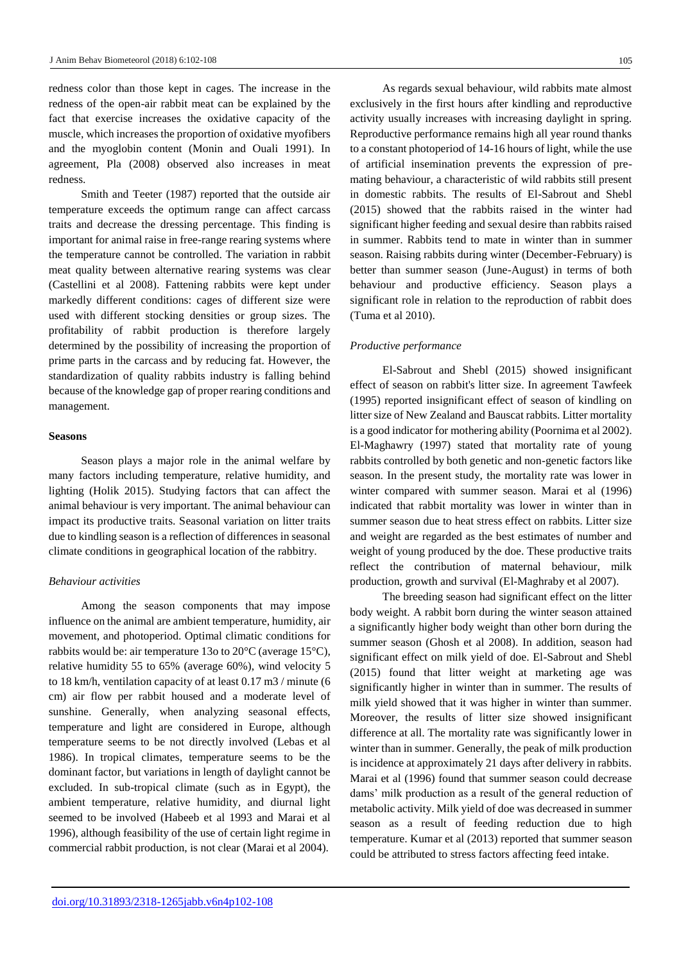redness color than those kept in cages. The increase in the redness of the open-air rabbit meat can be explained by the fact that exercise increases the oxidative capacity of the muscle, which increases the proportion of oxidative myofibers and the myoglobin content (Monin and Ouali 1991). In agreement, Pla (2008) observed also increases in meat redness.

Smith and Teeter (1987) reported that the outside air temperature exceeds the optimum range can affect carcass traits and decrease the dressing percentage. This finding is important for animal raise in free-range rearing systems where the temperature cannot be controlled. The variation in rabbit meat quality between alternative rearing systems was clear (Castellini et al 2008). Fattening rabbits were kept under markedly different conditions: cages of different size were used with different stocking densities or group sizes. The profitability of rabbit production is therefore largely determined by the possibility of increasing the proportion of prime parts in the carcass and by reducing fat. However, the standardization of quality rabbits industry is falling behind because of the knowledge gap of proper rearing conditions and management.

## **Seasons**

Season plays a major role in the animal welfare by many factors including temperature, relative humidity, and lighting (Holik 2015). Studying factors that can affect the animal behaviour is very important. The animal behaviour can impact its productive traits. Seasonal variation on litter traits due to kindling season is a reflection of differences in seasonal climate conditions in geographical location of the rabbitry.

### *Behaviour activities*

Among the season components that may impose influence on the animal are ambient temperature, humidity, air movement, and photoperiod. Optimal climatic conditions for rabbits would be: air temperature 13o to 20°C (average 15°C), relative humidity 55 to 65% (average 60%), wind velocity 5 to 18 km/h, ventilation capacity of at least 0.17 m3 / minute (6 cm) air flow per rabbit housed and a moderate level of sunshine. Generally, when analyzing seasonal effects, temperature and light are considered in Europe, although temperature seems to be not directly involved (Lebas et al 1986). In tropical climates, temperature seems to be the dominant factor, but variations in length of daylight cannot be excluded. In sub-tropical climate (such as in Egypt), the ambient temperature, relative humidity, and diurnal light seemed to be involved (Habeeb et al 1993 and Marai et al 1996), although feasibility of the use of certain light regime in commercial rabbit production, is not clear (Marai et al 2004).

As regards sexual behaviour, wild rabbits mate almost exclusively in the first hours after kindling and reproductive activity usually increases with increasing daylight in spring. Reproductive performance remains high all year round thanks to a constant photoperiod of 14-16 hours of light, while the use of artificial insemination prevents the expression of premating behaviour, a characteristic of wild rabbits still present in domestic rabbits. The results of El-Sabrout and Shebl (2015) showed that the rabbits raised in the winter had significant higher feeding and sexual desire than rabbits raised in summer. Rabbits tend to mate in winter than in summer season. Raising rabbits during winter (December-February) is better than summer season (June-August) in terms of both behaviour and productive efficiency. Season plays a significant role in relation to the reproduction of rabbit does (Tuma et al 2010).

#### *Productive performance*

El-Sabrout and Shebl (2015) showed insignificant effect of season on rabbit's litter size. In agreement Tawfeek (1995) reported insignificant effect of season of kindling on litter size of New Zealand and Bauscat rabbits. Litter mortality is a good indicator for mothering ability (Poornima et al 2002). El-Maghawry (1997) stated that mortality rate of young rabbits controlled by both genetic and non-genetic factors like season. In the present study, the mortality rate was lower in winter compared with summer season. Marai et al (1996) indicated that rabbit mortality was lower in winter than in summer season due to heat stress effect on rabbits. Litter size and weight are regarded as the best estimates of number and weight of young produced by the doe. These productive traits reflect the contribution of maternal behaviour, milk production, growth and survival (El-Maghraby et al 2007).

The breeding season had significant effect on the litter body weight. A rabbit born during the winter season attained a significantly higher body weight than other born during the summer season (Ghosh et al 2008). In addition, season had significant effect on milk yield of doe. El-Sabrout and Shebl (2015) found that litter weight at marketing age was significantly higher in winter than in summer. The results of milk yield showed that it was higher in winter than summer. Moreover, the results of litter size showed insignificant difference at all. The mortality rate was significantly lower in winter than in summer. Generally, the peak of milk production is incidence at approximately 21 days after delivery in rabbits. Marai et al (1996) found that summer season could decrease dams' milk production as a result of the general reduction of metabolic activity. Milk yield of doe was decreased in summer season as a result of feeding reduction due to high temperature. Kumar et al (2013) reported that summer season could be attributed to stress factors affecting feed intake.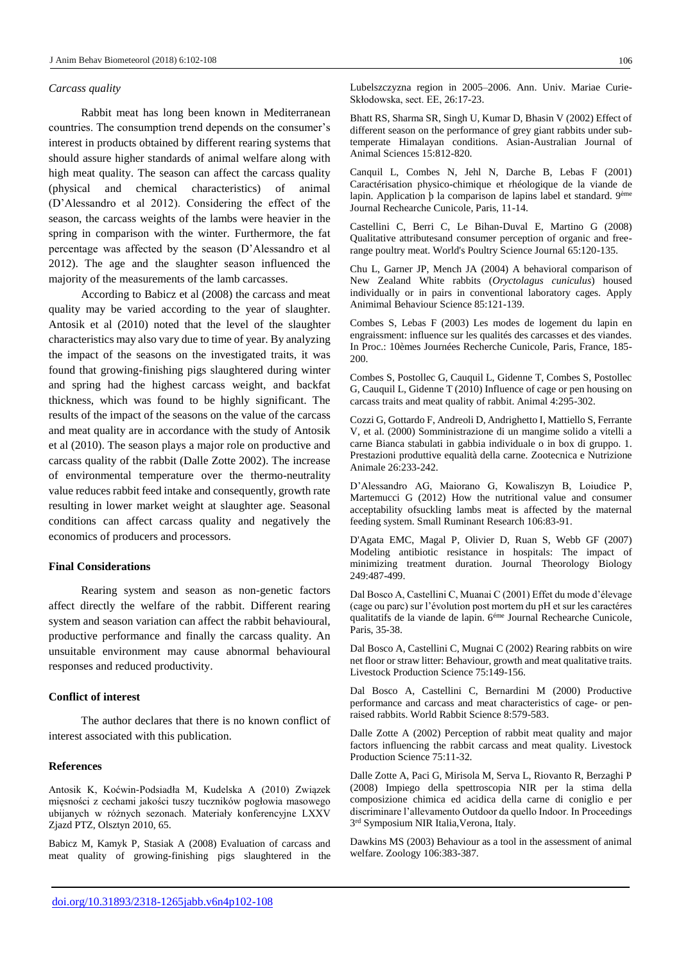## *Carcass quality*

Rabbit meat has long been known in Mediterranean countries. The consumption trend depends on the consumer's interest in products obtained by different rearing systems that should assure higher standards of animal welfare along with high meat quality. The season can affect the carcass quality (physical and chemical characteristics) of animal (D'Alessandro et al 2012). Considering the effect of the season, the carcass weights of the lambs were heavier in the spring in comparison with the winter. Furthermore, the fat percentage was affected by the season (D'Alessandro et al 2012). The age and the slaughter season influenced the majority of the measurements of the lamb carcasses.

According to Babicz et al (2008) the carcass and meat quality may be varied according to the year of slaughter. Antosik et al (2010) noted that the level of the slaughter characteristics may also vary due to time of year. By analyzing the impact of the seasons on the investigated traits, it was found that growing-finishing pigs slaughtered during winter and spring had the highest carcass weight, and backfat thickness, which was found to be highly significant. The results of the impact of the seasons on the value of the carcass and meat quality are in accordance with the study of Antosik et al (2010). The season plays a major role on productive and carcass quality of the rabbit (Dalle Zotte 2002). The increase of environmental temperature over the thermo-neutrality value reduces rabbit feed intake and consequently, growth rate resulting in lower market weight at slaughter age. Seasonal conditions can affect carcass quality and negatively the economics of producers and processors.

#### **Final Considerations**

Rearing system and season as non-genetic factors affect directly the welfare of the rabbit. Different rearing system and season variation can affect the rabbit behavioural, productive performance and finally the carcass quality. An unsuitable environment may cause abnormal behavioural responses and reduced productivity.

# **Conflict of interest**

The author declares that there is no known conflict of interest associated with this publication.

#### **References**

Antosik K, Koćwin-Podsiadła M, Kudelska A (2010) Związek mięsności z cechami jakości tuszy tuczników pogłowia masowego ubijanych w różnych sezonach. Materiały konferencyjne LXXV Zjazd PTZ, Olsztyn 2010, 65.

Babicz M, Kamyk P, Stasiak A (2008) Evaluation of carcass and meat quality of growing-finishing pigs slaughtered in the

Lubelszczyzna region in 2005–2006. Ann. Univ. Mariae Curie-Skłodowska, sect. EE, 26:17-23.

Bhatt RS, Sharma SR, Singh U, Kumar D, Bhasin V (2002) Effect of different season on the performance of grey giant rabbits under subtemperate Himalayan conditions. Asian-Australian Journal of Animal Sciences 15:812-820.

Canquil L, Combes N, Jehl N, Darche B, Lebas F (2001) Caractérisation physico-chimique et rhéologique de la viande de lapin. Application þ la comparison de lapins label et standard. 9ème Journal Rechearche Cunicole, Paris, 11-14.

Castellini C, Berri C, Le Bihan-Duval E, Martino G (2008) Qualitative attributesand consumer perception of organic and freerange poultry meat. World's Poultry Science Journal 65:120-135.

Chu L, Garner JP, Mench JA (2004) A behavioral comparison of New Zealand White rabbits (*Oryctolagus cuniculus*) housed individually or in pairs in conventional laboratory cages. Apply Animimal Behaviour Science 85:121-139.

Combes S, Lebas F (2003) Les modes de logement du lapin en engraissment: influence sur les qualités des carcasses et des viandes. In Proc.: 10èmes Journées Recherche Cunicole, Paris, France, 185- 200.

Combes S, Postollec G, Cauquil L, Gidenne T, Combes S, Postollec G, Cauquil L, Gidenne T (2010) Influence of cage or pen housing on carcass traits and meat quality of rabbit. Animal 4:295-302.

Cozzi G, Gottardo F, Andreoli D, Andrighetto I, Mattiello S, Ferrante V, et al. (2000) Somministrazione di un mangime solido a vitelli a carne Bianca stabulati in gabbia individuale o in box di gruppo. 1. Prestazioni produttive equalità della carne. Zootecnica e Nutrizione Animale 26:233-242.

D'Alessandro AG, Maiorano G, Kowaliszyn B, Loiudice P, Martemucci G (2012) How the nutritional value and consumer acceptability ofsuckling lambs meat is affected by the maternal feeding system. Small Ruminant Research 106:83-91.

D'Agata EMC, Magal P, Olivier D, Ruan S, Webb GF (2007) Modeling antibiotic resistance in hospitals: The impact of minimizing treatment duration. Journal Theorology Biology 249:487-499.

Dal Bosco A, Castellini C, Muanai C (2001) Effet du mode d'élevage (cage ou parc) sur l'évolution post mortem du pH et sur les caractéres qualitatifs de la viande de lapin. 6éme Journal Rechearche Cunicole, Paris, 35-38.

Dal Bosco A, Castellini C, Mugnai C (2002) Rearing rabbits on wire net floor or straw litter: Behaviour, growth and meat qualitative traits. Livestock Production Science 75:149-156.

Dal Bosco A, Castellini C, Bernardini M (2000) Productive performance and carcass and meat characteristics of cage- or penraised rabbits. World Rabbit Science 8:579-583.

Dalle Zotte A (2002) Perception of rabbit meat quality and major factors influencing the rabbit carcass and meat quality. Livestock Production Science 75:11-32.

Dalle Zotte A, Paci G, Mirisola M, Serva L, Riovanto R, Berzaghi P (2008) Impiego della spettroscopia NIR per la stima della composizione chimica ed acidica della carne di coniglio e per discriminare l'allevamento Outdoor da quello Indoor. In Proceedings 3 rd Symposium NIR Italia,Verona, Italy.

Dawkins MS (2003) Behaviour as a tool in the assessment of animal welfare. Zoology 106:383-387.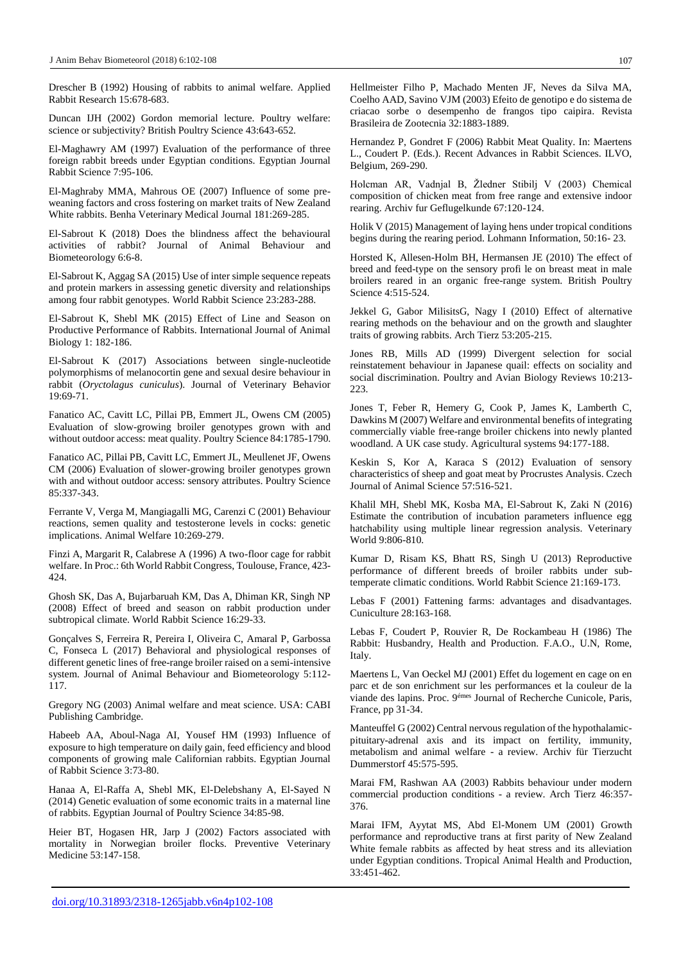Drescher B (1992) Housing of rabbits to animal welfare. Applied Rabbit Research 15:678-683.

Duncan IJH (2002) Gordon memorial lecture. Poultry welfare: science or subjectivity? British Poultry Science 43:643-652.

El-Maghawry AM (1997) Evaluation of the performance of three foreign rabbit breeds under Egyptian conditions. Egyptian Journal Rabbit Science 7:95-106.

El-Maghraby MMA, Mahrous OE (2007) Influence of some preweaning factors and cross fostering on market traits of New Zealand White rabbits. Benha Veterinary Medical Journal 181:269-285.

El-Sabrout K (2018) Does the blindness affect the behavioural activities of rabbit? Journal of Animal Behaviour and Biometeorology 6:6-8.

El-Sabrout K, Aggag SA (2015) Use of inter simple sequence repeats and protein markers in assessing genetic diversity and relationships among four rabbit genotypes. World Rabbit Science 23:283-288.

El-Sabrout K, Shebl MK (2015) Effect of Line and Season on Productive Performance of Rabbits. International Journal of Animal Biology 1: 182-186.

El-Sabrout K (2017) Associations between single-nucleotide polymorphisms of melanocortin gene and sexual desire behaviour in rabbit (*Oryctolagus cuniculus*). Journal of Veterinary Behavior 19:69-71.

Fanatico AC, Cavitt LC, Pillai PB, Emmert JL, Owens CM (2005) Evaluation of slow-growing broiler genotypes grown with and without outdoor access: meat quality. Poultry Science 84:1785-1790.

Fanatico AC, Pillai PB, Cavitt LC, Emmert JL, Meullenet JF, Owens CM (2006) Evaluation of slower-growing broiler genotypes grown with and without outdoor access: sensory attributes. Poultry Science 85:337-343.

Ferrante V, Verga M, Mangiagalli MG, Carenzi C (2001) Behaviour reactions, semen quality and testosterone levels in cocks: genetic implications. Animal Welfare 10:269-279.

Finzi A, Margarit R, Calabrese A (1996) A two-floor cage for rabbit welfare. In Proc.: 6th World Rabbit Congress, Toulouse, France, 423- 424.

Ghosh SK, Das A, Bujarbaruah KM, Das A, Dhiman KR, Singh NP (2008) Effect of breed and season on rabbit production under subtropical climate. World Rabbit Science 16:29-33.

Gonçalves S, Ferreira R, Pereira I, Oliveira C, Amaral P, Garbossa C, Fonseca L (2017) Behavioral and physiological responses of different genetic lines of free-range broiler raised on a semi-intensive system. Journal of Animal Behaviour and Biometeorology 5:112- 117.

Gregory NG (2003) Animal welfare and meat science. USA: CABI Publishing Cambridge.

Habeeb AA, Aboul-Naga AI, Yousef HM (1993) Influence of exposure to high temperature on daily gain, feed efficiency and blood components of growing male Californian rabbits. Egyptian Journal of Rabbit Science 3:73-80.

Hanaa A, El-Raffa A, Shebl MK, El-Delebshany A, El-Sayed N (2014) Genetic evaluation of some economic traits in a maternal line of rabbits. Egyptian Journal of Poultry Science 34:85-98.

Heier BT, Hogasen HR, Jarp J (2002) Factors associated with mortality in Norwegian broiler flocks. Preventive Veterinary Medicine 53:147-158.

Hellmeister Filho P, Machado Menten JF, Neves da Silva MA, Coelho AAD, Savino VJM (2003) Efeito de genotipo e do sistema de criacao sorbe o desempenho de frangos tipo caipira. Revista Brasileira de Zootecnia 32:1883-1889.

Hernandez P, Gondret F (2006) Rabbit Meat Quality. In: Maertens L., Coudert P. (Eds.). Recent Advances in Rabbit Sciences. ILVO, Belgium, 269-290.

Holcman AR, Vadnjal B, Žledner Stibilj V (2003) Chemical composition of chicken meat from free range and extensive indoor rearing. Archiv fur Geflugelkunde 67:120-124.

Holik V (2015) Management of laying hens under tropical conditions begins during the rearing period. Lohmann Information, 50:16- 23.

Horsted K, Allesen-Holm BH, Hermansen JE (2010) The effect of breed and feed-type on the sensory profi le on breast meat in male broilers reared in an organic free-range system. British Poultry Science 4:515-524.

Jekkel G, Gabor MilisitsG, Nagy I (2010) Effect of alternative rearing methods on the behaviour and on the growth and slaughter traits of growing rabbits. Arch Tierz 53:205-215.

Jones RB, Mills AD (1999) Divergent selection for social reinstatement behaviour in Japanese quail: effects on sociality and social discrimination. Poultry and Avian Biology Reviews 10:213- 223.

Jones T, Feber R, Hemery G, Cook P, James K, Lamberth C, Dawkins M (2007) Welfare and environmental benefits of integrating commercially viable free-range broiler chickens into newly planted woodland. A UK case study. Agricultural systems 94:177-188.

Keskin S, Kor A, Karaca S (2012) Evaluation of sensory characteristics of sheep and goat meat by Procrustes Analysis. Czech Journal of Animal Science 57:516-521.

Khalil MH, Shebl MK, Kosba MA, El-Sabrout K, Zaki N (2016) Estimate the contribution of incubation parameters influence egg hatchability using multiple linear regression analysis. Veterinary World 9:806-810.

Kumar D, Risam KS, Bhatt RS, Singh U (2013) Reproductive performance of different breeds of broiler rabbits under subtemperate climatic conditions. World Rabbit Science 21:169-173.

Lebas F (2001) Fattening farms: advantages and disadvantages. Cuniculture 28:163-168.

Lebas F, Coudert P, Rouvier R, De Rockambeau H (1986) The Rabbit: Husbandry, Health and Production. F.A.O., U.N, Rome, Italy.

Maertens L, Van Oeckel MJ (2001) Effet du logement en cage on en parc et de son enrichment sur les performances et la couleur de la viande des lapins. Proc. 9émes Journal of Recherche Cunicole, Paris, France, pp 31-34.

Manteuffel G (2002) Central nervous regulation of the hypothalamicpituitary-adrenal axis and its impact on fertility, immunity, metabolism and animal welfare - a review. Archiv für Tierzucht Dummerstorf 45:575-595.

Marai FM, Rashwan AA (2003) Rabbits behaviour under modern commercial production conditions - a review. Arch Tierz 46:357- 376.

Marai IFM, Ayytat MS, Abd El-Monem UM (2001) Growth performance and reproductive trans at first parity of New Zealand White female rabbits as affected by heat stress and its alleviation under Egyptian conditions. Tropical Animal Health and Production, 33:451-462.